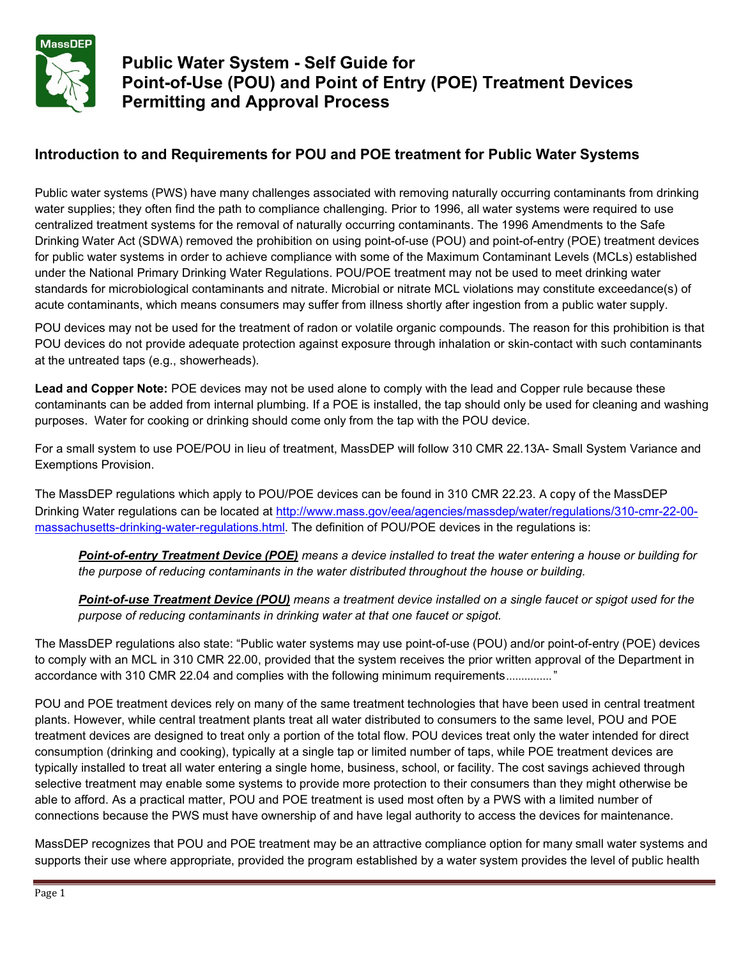

## **Public Water System - Self Guide for Point-of-Use (POU) and Point of Entry (POE) Treatment Devices Permitting and Approval Process**

### **Introduction to and Requirements for POU and POE treatment for Public Water Systems**

Public water systems (PWS) have many challenges associated with removing naturally occurring contaminants from drinking water supplies; they often find the path to compliance challenging. Prior to 1996, all water systems were required to use centralized treatment systems for the removal of naturally occurring contaminants. The 1996 Amendments to the Safe Drinking Water Act (SDWA) removed the prohibition on using point-of-use (POU) and point-of-entry (POE) treatment devices for public water systems in order to achieve compliance with some of the Maximum Contaminant Levels (MCLs) established under the National Primary Drinking Water Regulations. POU/POE treatment may not be used to meet drinking water standards for microbiological contaminants and nitrate. Microbial or nitrate MCL violations may constitute exceedance(s) of acute contaminants, which means consumers may suffer from illness shortly after ingestion from a public water supply.

POU devices may not be used for the treatment of radon or volatile organic compounds. The reason for this prohibition is that POU devices do not provide adequate protection against exposure through inhalation or skin-contact with such contaminants at the untreated taps (e.g., showerheads).

**Lead and Copper Note:** POE devices may not be used alone to comply with the lead and Copper rule because these contaminants can be added from internal plumbing. If a POE is installed, the tap should only be used for cleaning and washing purposes. Water for cooking or drinking should come only from the tap with the POU device.

For a small system to use POE/POU in lieu of treatment, MassDEP will follow 310 CMR 22.13A- Small System Variance and Exemptions Provision.

The MassDEP regulations which apply to POU/POE devices can be found in 310 CMR 22.23. A copy of the MassDEP Drinking Water regulations can be located at [http://www.mass.gov/eea/agencies/massdep/water/regulations/310-cmr-22-00](http://www.mass.gov/eea/agencies/massdep/water/regulations/310-cmr-22-00-massachusetts-drinking-water-regulations.html) [massachusetts-drinking-water-regulations.html.](http://www.mass.gov/eea/agencies/massdep/water/regulations/310-cmr-22-00-massachusetts-drinking-water-regulations.html) The definition of POU/POE devices in the regulations is:

Point-of-entry Treatment Device (POE) means a device installed to treat the water entering a house or building for *the purpose of reducing contaminants in the water distributed throughout the house or building.*

Point-of-use Treatment Device (POU) means a treatment device installed on a single faucet or spigot used for the *purpose of reducing contaminants in drinking water at that one faucet or spigot.*

The MassDEP regulations also state: "Public water systems may use point-of-use (POU) and/or point-of-entry (POE) devices to comply with an MCL in 310 CMR 22.00, provided that the system receives the prior written approval of the Department in accordance with 310 CMR 22.04 and complies with the following minimum requirements..............."

POU and POE treatment devices rely on many of the same treatment technologies that have been used in central treatment plants. However, while central treatment plants treat all water distributed to consumers to the same level, POU and POE treatment devices are designed to treat only a portion of the total flow. POU devices treat only the water intended for direct consumption (drinking and cooking), typically at a single tap or limited number of taps, while POE treatment devices are typically installed to treat all water entering a single home, business, school, or facility. The cost savings achieved through selective treatment may enable some systems to provide more protection to their consumers than they might otherwise be able to afford. As a practical matter, POU and POE treatment is used most often by a PWS with a limited number of connections because the PWS must have ownership of and have legal authority to access the devices for maintenance.

MassDEP recognizes that POU and POE treatment may be an attractive compliance option for many small water systems and supports their use where appropriate, provided the program established by a water system provides the level of public health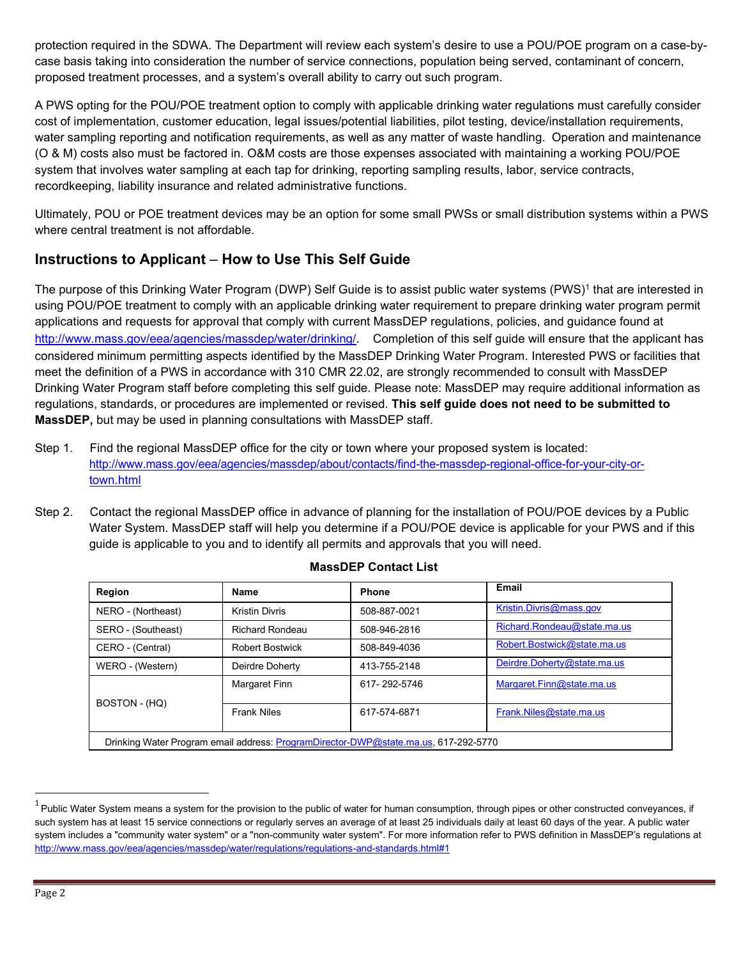protection required in the SDWA. The Department will review each system's desire to use a POU/POE program on a case-bycase basis taking into consideration the number of service connections, population being served, contaminant of concern, proposed treatment processes, and a system's overall ability to carry out such program.

A PWS opting for the POU/POE treatment option to comply with applicable drinking water regulations must carefully consider cost of implementation, customer education, legal issues/potential liabilities, pilot testing, device/installation requirements, water sampling reporting and notification requirements, as well as any matter of waste handling. Operation and maintenance (O & M) costs also must be factored in. O&M costs are those expenses associated with maintaining a working POU/POE system that involves water sampling at each tap for drinking, reporting sampling results, labor, service contracts, recordkeeping, liability insurance and related administrative functions.

Ultimately, POU or POE treatment devices may be an option for some small PWSs or small distribution systems within a PWS where central treatment is not affordable.

### **Instructions to Applicant** – **How to Use This Self Guide**

The purpose of this Drinking Water Program (DWP) Self Guide is to assist public water systems (PWS)<sup>1</sup> that are interested in using POU/POE treatment to comply with an applicable drinking water requirement to prepare drinking water program permit applications and requests for approval that comply with current MassDEP regulations, policies, and guidance found at <http://www.mass.gov/eea/agencies/massdep/water/drinking/>[.](http://www.mass.gov/eea/agencies/massdep/water/drinking/) Completion of this self guide will ensure that the applicant has considered minimum permitting aspects identified by the MassDEP Drinking Water Program. Interested PWS or facilities that meet the definition of a PWS in accordance with 310 CMR 22.02, are strongly recommended to consult with MassDEP Drinking Water Program staff before completing this self guide. Please note: MassDEP may require additional information as regulations, standards, or procedures are implemented or revised. **This self guide does not need to be submitted to MassDEP,** but may be used in planning consultations with MassDEP staff.

- Step 1. Find the regional MassDEP office for the city or town where your proposed system is located: [http://www.mass.gov/eea/agencies/massdep/about/contacts/find-the-massdep-regional-office-for-your-city-or](http://www.mass.gov/eea/agencies/massdep/about/contacts/find-the-massdep-regional-office-for-your-city-or-town.html)[town.html](http://www.mass.gov/eea/agencies/massdep/about/contacts/find-the-massdep-regional-office-for-your-city-or-town.html)
- Step 2. Contact the regional MassDEP office in advance of planning for the installation of POU/POE devices by a Public Water System. MassDEP staff will help you determine if a POU/POE device is applicable for your PWS and if this guide is applicable to you and to identify all permits and approvals that you will need.

| Region                                                                              | Name                   | <b>Phone</b> | Email                       |  |  |  |
|-------------------------------------------------------------------------------------|------------------------|--------------|-----------------------------|--|--|--|
| NERO - (Northeast)                                                                  | <b>Kristin Divris</b>  | 508-887-0021 | Kristin.Divris@mass.gov     |  |  |  |
| SERO - (Southeast)                                                                  | <b>Richard Rondeau</b> | 508-946-2816 | Richard.Rondeau@state.ma.us |  |  |  |
| CERO - (Central)                                                                    | <b>Robert Bostwick</b> | 508-849-4036 | Robert.Bostwick@state.ma.us |  |  |  |
| WERO - (Western)                                                                    | Deirdre Doherty        | 413-755-2148 | Deirdre.Doherty@state.ma.us |  |  |  |
|                                                                                     | Margaret Finn          | 617-292-5746 | Margaret.Finn@state.ma.us   |  |  |  |
| BOSTON - (HQ)                                                                       | <b>Frank Niles</b>     | 617-574-6871 | Frank.Niles@state.ma.us     |  |  |  |
| Drinking Water Program email address: ProgramDirector-DWP@state.ma.us, 617-292-5770 |                        |              |                             |  |  |  |

#### **MassDEP Contact List**

 $1$  Public Water System means a system for the provision to the public of water for human consumption, through pipes or other constructed conveyances, if such system has at least 15 service connections or regularly serves an average of at least 25 individuals daily at least 60 days of the year. A public water system includes a "community water system" or a "non-community water system". For more information refer to PWS definition in MassDEP's regulations at <http://www.mass.gov/eea/agencies/massdep/water/regulations/regulations-and-standards.html#1>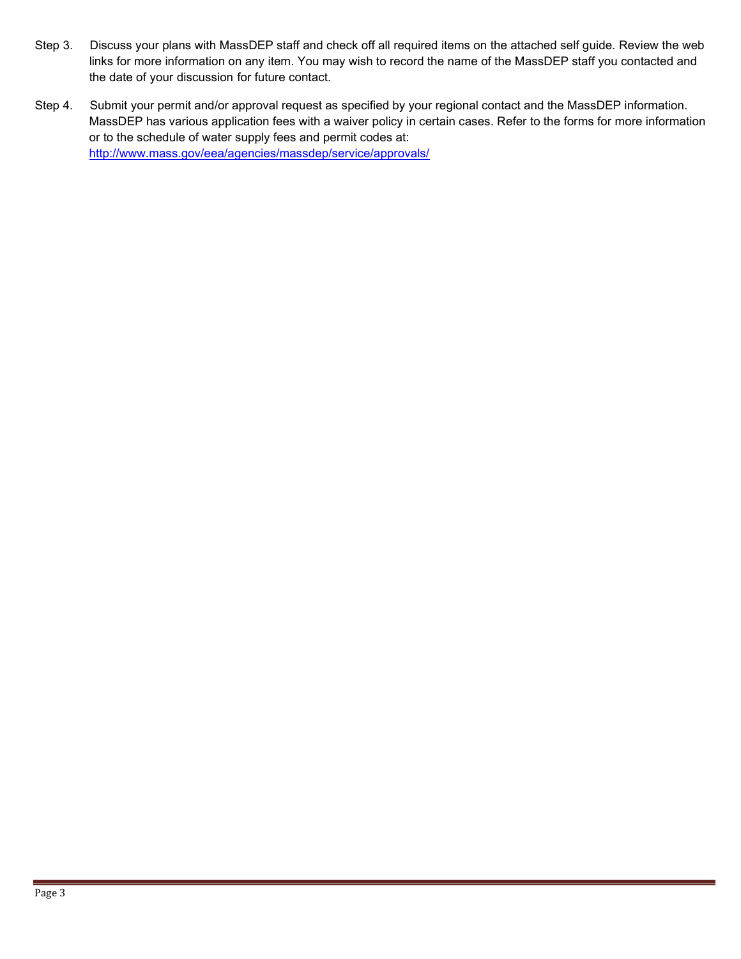- Step 3. Discuss your plans with MassDEP staff and check off all required items on the attached self guide. Review the web links for more information on any item. You may wish to record the name of the MassDEP staff you contacted and the date of your discussion for future contact.
- Step 4. Submit your permit and/or approval request as specified by your regional contact and the MassDEP information. MassDEP has various application fees with a waiver policy in certain cases. Refer to the forms for more information or to the schedule of water supply fees and permit codes at: <http://www.mass.gov/eea/agencies/massdep/service/approvals/>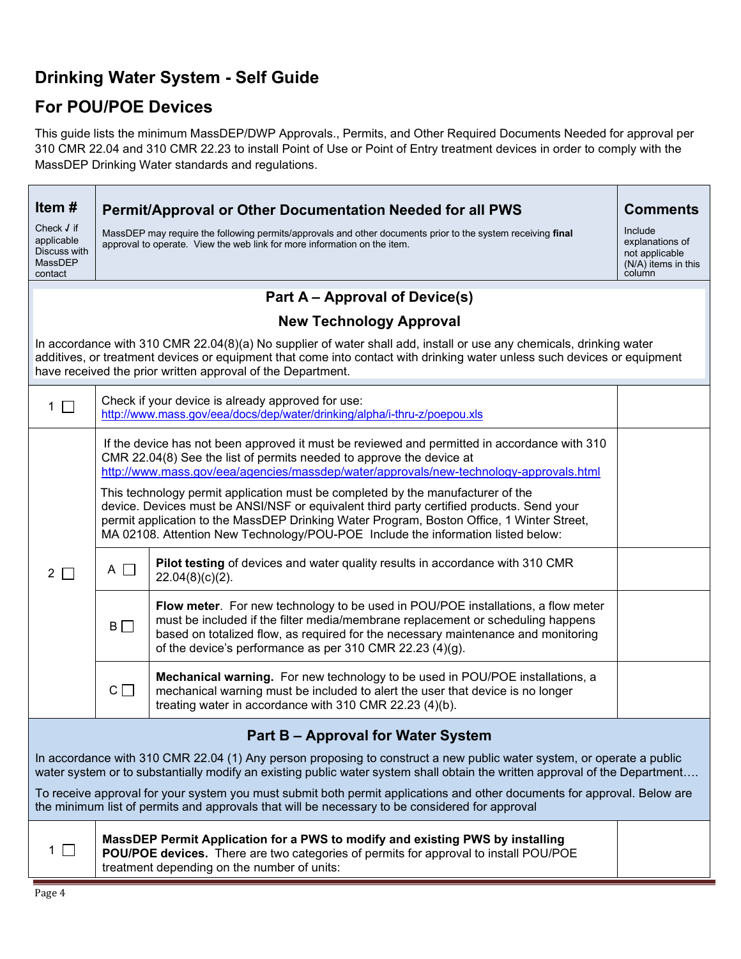## **Drinking Water System - Self Guide**

# **For POU/POE Devices**

This guide lists the minimum MassDEP/DWP Approvals., Permits, and Other Required Documents Needed for approval per 310 CMR 22.04 and 310 CMR 22.23 to install Point of Use or Point of Entry treatment devices in order to comply with the MassDEP Drinking Water standards and regulations.

| Item#                                                                                                                                                                                                                                                                                                          | Permit/Approval or Other Documentation Needed for all PWS                                                                                                                                                                                                                                                                                                    |                                                                                                                                                                                                                                                                                                                      | <b>Comments</b>                                                               |  |  |  |
|----------------------------------------------------------------------------------------------------------------------------------------------------------------------------------------------------------------------------------------------------------------------------------------------------------------|--------------------------------------------------------------------------------------------------------------------------------------------------------------------------------------------------------------------------------------------------------------------------------------------------------------------------------------------------------------|----------------------------------------------------------------------------------------------------------------------------------------------------------------------------------------------------------------------------------------------------------------------------------------------------------------------|-------------------------------------------------------------------------------|--|--|--|
| Check $J$ if<br>applicable<br>Discuss with<br>MassDEP<br>contact                                                                                                                                                                                                                                               | MassDEP may require the following permits/approvals and other documents prior to the system receiving final<br>approval to operate. View the web link for more information on the item.                                                                                                                                                                      |                                                                                                                                                                                                                                                                                                                      | Include<br>explanations of<br>not applicable<br>(N/A) items in this<br>column |  |  |  |
|                                                                                                                                                                                                                                                                                                                | Part A – Approval of Device(s)                                                                                                                                                                                                                                                                                                                               |                                                                                                                                                                                                                                                                                                                      |                                                                               |  |  |  |
|                                                                                                                                                                                                                                                                                                                |                                                                                                                                                                                                                                                                                                                                                              | <b>New Technology Approval</b>                                                                                                                                                                                                                                                                                       |                                                                               |  |  |  |
| In accordance with 310 CMR 22.04(8)(a) No supplier of water shall add, install or use any chemicals, drinking water<br>additives, or treatment devices or equipment that come into contact with drinking water unless such devices or equipment<br>have received the prior written approval of the Department. |                                                                                                                                                                                                                                                                                                                                                              |                                                                                                                                                                                                                                                                                                                      |                                                                               |  |  |  |
| $\mathbf{1}$<br>$\Box$                                                                                                                                                                                                                                                                                         | Check if your device is already approved for use:<br>http://www.mass.gov/eea/docs/dep/water/drinking/alpha/i-thru-z/poepou.xls                                                                                                                                                                                                                               |                                                                                                                                                                                                                                                                                                                      |                                                                               |  |  |  |
|                                                                                                                                                                                                                                                                                                                | If the device has not been approved it must be reviewed and permitted in accordance with 310<br>CMR 22.04(8) See the list of permits needed to approve the device at<br>http://www.mass.gov/eea/agencies/massdep/water/approvals/new-technology-approvals.html                                                                                               |                                                                                                                                                                                                                                                                                                                      |                                                                               |  |  |  |
| $2 \square$                                                                                                                                                                                                                                                                                                    | This technology permit application must be completed by the manufacturer of the<br>device. Devices must be ANSI/NSF or equivalent third party certified products. Send your<br>permit application to the MassDEP Drinking Water Program, Boston Office, 1 Winter Street,<br>MA 02108. Attention New Technology/POU-POE Include the information listed below: |                                                                                                                                                                                                                                                                                                                      |                                                                               |  |  |  |
|                                                                                                                                                                                                                                                                                                                | $A \Box$                                                                                                                                                                                                                                                                                                                                                     | Pilot testing of devices and water quality results in accordance with 310 CMR<br>$22.04(8)(c)(2)$ .                                                                                                                                                                                                                  |                                                                               |  |  |  |
|                                                                                                                                                                                                                                                                                                                | $B\Box$                                                                                                                                                                                                                                                                                                                                                      | Flow meter. For new technology to be used in POU/POE installations, a flow meter<br>must be included if the filter media/membrane replacement or scheduling happens<br>based on totalized flow, as required for the necessary maintenance and monitoring<br>of the device's performance as per 310 CMR 22.23 (4)(g). |                                                                               |  |  |  |
|                                                                                                                                                                                                                                                                                                                | $C \Box$                                                                                                                                                                                                                                                                                                                                                     | Mechanical warning. For new technology to be used in POU/POE installations, a<br>mechanical warning must be included to alert the user that device is no longer<br>treating water in accordance with 310 CMR 22.23 (4)(b).                                                                                           |                                                                               |  |  |  |
|                                                                                                                                                                                                                                                                                                                |                                                                                                                                                                                                                                                                                                                                                              | Part B - Approval for Water System                                                                                                                                                                                                                                                                                   |                                                                               |  |  |  |
| In accordance with 310 CMR 22.04 (1) Any person proposing to construct a new public water system, or operate a public<br>water system or to substantially modify an existing public water system shall obtain the written approval of the Department                                                           |                                                                                                                                                                                                                                                                                                                                                              |                                                                                                                                                                                                                                                                                                                      |                                                                               |  |  |  |
| To receive approval for your system you must submit both permit applications and other documents for approval. Below are<br>the minimum list of permits and approvals that will be necessary to be considered for approval                                                                                     |                                                                                                                                                                                                                                                                                                                                                              |                                                                                                                                                                                                                                                                                                                      |                                                                               |  |  |  |
| $\mathcal{L}$<br>1                                                                                                                                                                                                                                                                                             |                                                                                                                                                                                                                                                                                                                                                              | MassDEP Permit Application for a PWS to modify and existing PWS by installing<br>POU/POE devices. There are two categories of permits for approval to install POU/POE<br>treatment depending on the number of units:                                                                                                 |                                                                               |  |  |  |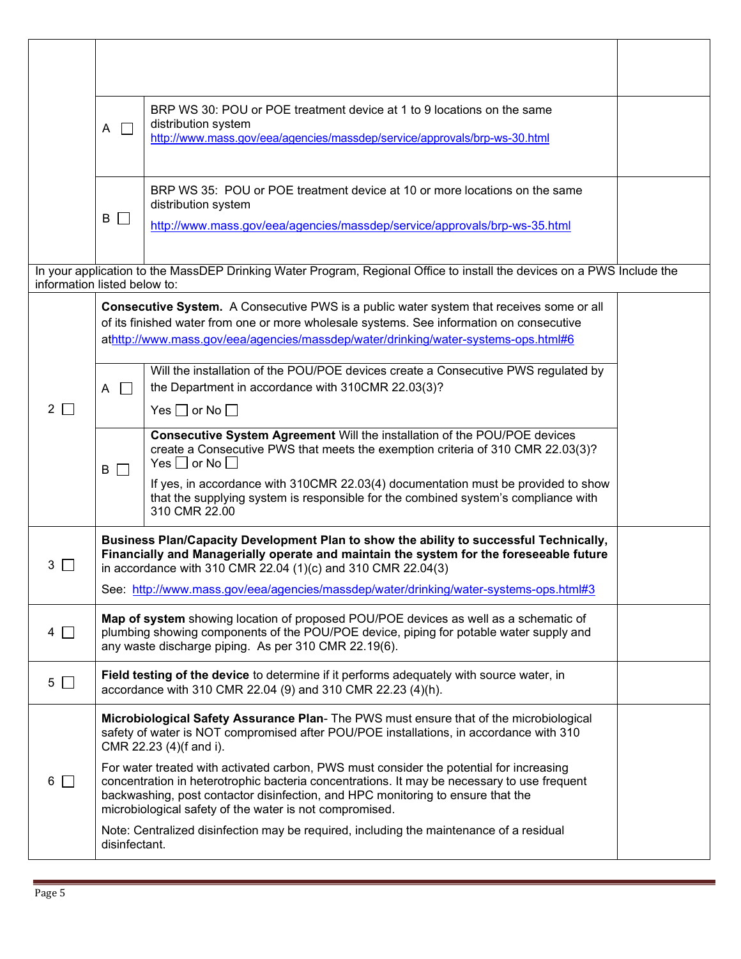|                              | $\Box$<br>A                                                                                                                                                                                                                                                                                                                          | BRP WS 30: POU or POE treatment device at 1 to 9 locations on the same<br>distribution system<br>http://www.mass.gov/eea/agencies/massdep/service/approvals/brp-ws-30.html                                                                                                                                                                                                          |  |
|------------------------------|--------------------------------------------------------------------------------------------------------------------------------------------------------------------------------------------------------------------------------------------------------------------------------------------------------------------------------------|-------------------------------------------------------------------------------------------------------------------------------------------------------------------------------------------------------------------------------------------------------------------------------------------------------------------------------------------------------------------------------------|--|
|                              | B<br>$\mathbf{L}$                                                                                                                                                                                                                                                                                                                    | BRP WS 35: POU or POE treatment device at 10 or more locations on the same<br>distribution system<br>http://www.mass.gov/eea/agencies/massdep/service/approvals/brp-ws-35.html                                                                                                                                                                                                      |  |
| information listed below to: |                                                                                                                                                                                                                                                                                                                                      | In your application to the MassDEP Drinking Water Program, Regional Office to install the devices on a PWS Include the                                                                                                                                                                                                                                                              |  |
|                              |                                                                                                                                                                                                                                                                                                                                      | <b>Consecutive System.</b> A Consecutive PWS is a public water system that receives some or all<br>of its finished water from one or more wholesale systems. See information on consecutive<br>athttp://www.mass.gov/eea/agencies/massdep/water/drinking/water-systems-ops.html#6                                                                                                   |  |
| $2 \mid$                     | $\Box$<br>A                                                                                                                                                                                                                                                                                                                          | Will the installation of the POU/POE devices create a Consecutive PWS regulated by<br>the Department in accordance with 310CMR 22.03(3)?                                                                                                                                                                                                                                            |  |
|                              |                                                                                                                                                                                                                                                                                                                                      | Yes $\Box$ or No $\Box$                                                                                                                                                                                                                                                                                                                                                             |  |
|                              | $B \Box$                                                                                                                                                                                                                                                                                                                             | Consecutive System Agreement Will the installation of the POU/POE devices<br>create a Consecutive PWS that meets the exemption criteria of 310 CMR 22.03(3)?<br>Yes $\Box$ or No $\Box$<br>If yes, in accordance with 310CMR 22.03(4) documentation must be provided to show<br>that the supplying system is responsible for the combined system's compliance with<br>310 CMR 22.00 |  |
| 3                            | Business Plan/Capacity Development Plan to show the ability to successful Technically,<br>Financially and Managerially operate and maintain the system for the foreseeable future<br>in accordance with 310 CMR 22.04 (1)(c) and 310 CMR 22.04(3)                                                                                    |                                                                                                                                                                                                                                                                                                                                                                                     |  |
|                              |                                                                                                                                                                                                                                                                                                                                      | See: http://www.mass.gov/eea/agencies/massdep/water/drinking/water-systems-ops.html#3                                                                                                                                                                                                                                                                                               |  |
| $4$ $\Box$                   | Map of system showing location of proposed POU/POE devices as well as a schematic of<br>plumbing showing components of the POU/POE device, piping for potable water supply and<br>any waste discharge piping. As per 310 CMR 22.19(6).                                                                                               |                                                                                                                                                                                                                                                                                                                                                                                     |  |
| $5 \Box$                     | Field testing of the device to determine if it performs adequately with source water, in<br>accordance with 310 CMR 22.04 (9) and 310 CMR 22.23 (4)(h).                                                                                                                                                                              |                                                                                                                                                                                                                                                                                                                                                                                     |  |
|                              |                                                                                                                                                                                                                                                                                                                                      | Microbiological Safety Assurance Plan- The PWS must ensure that of the microbiological<br>safety of water is NOT compromised after POU/POE installations, in accordance with 310<br>CMR 22.23 (4)(f and i).                                                                                                                                                                         |  |
| $6\Box$                      | For water treated with activated carbon, PWS must consider the potential for increasing<br>concentration in heterotrophic bacteria concentrations. It may be necessary to use frequent<br>backwashing, post contactor disinfection, and HPC monitoring to ensure that the<br>microbiological safety of the water is not compromised. |                                                                                                                                                                                                                                                                                                                                                                                     |  |
|                              | Note: Centralized disinfection may be required, including the maintenance of a residual<br>disinfectant.                                                                                                                                                                                                                             |                                                                                                                                                                                                                                                                                                                                                                                     |  |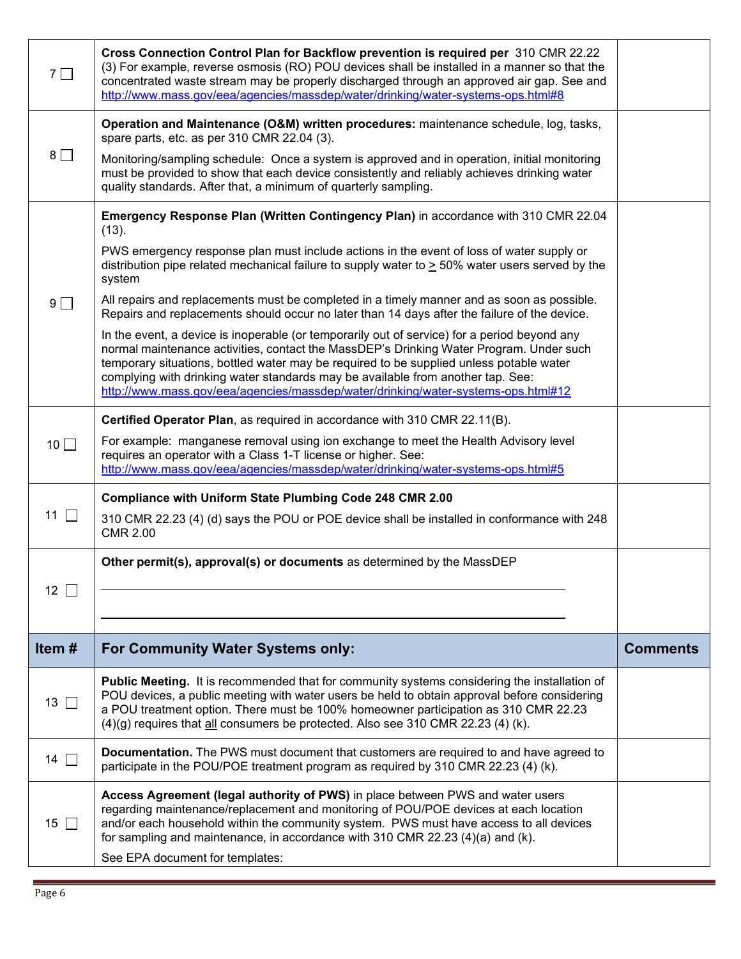| $7\Box$         | Cross Connection Control Plan for Backflow prevention is required per 310 CMR 22.22<br>(3) For example, reverse osmosis (RO) POU devices shall be installed in a manner so that the<br>concentrated waste stream may be properly discharged through an approved air gap. See and<br>http://www.mass.gov/eea/agencies/massdep/water/drinking/water-systems-ops.html#8                                                                                       |                 |
|-----------------|------------------------------------------------------------------------------------------------------------------------------------------------------------------------------------------------------------------------------------------------------------------------------------------------------------------------------------------------------------------------------------------------------------------------------------------------------------|-----------------|
|                 | Operation and Maintenance (O&M) written procedures: maintenance schedule, log, tasks,<br>spare parts, etc. as per 310 CMR 22.04 (3).                                                                                                                                                                                                                                                                                                                       |                 |
| $8\Box$         | Monitoring/sampling schedule: Once a system is approved and in operation, initial monitoring<br>must be provided to show that each device consistently and reliably achieves drinking water<br>quality standards. After that, a minimum of quarterly sampling.                                                                                                                                                                                             |                 |
|                 | Emergency Response Plan (Written Contingency Plan) in accordance with 310 CMR 22.04<br>(13).                                                                                                                                                                                                                                                                                                                                                               |                 |
|                 | PWS emergency response plan must include actions in the event of loss of water supply or<br>distribution pipe related mechanical failure to supply water to $\geq$ 50% water users served by the<br>system                                                                                                                                                                                                                                                 |                 |
| 9 <sup>0</sup>  | All repairs and replacements must be completed in a timely manner and as soon as possible.<br>Repairs and replacements should occur no later than 14 days after the failure of the device.                                                                                                                                                                                                                                                                 |                 |
|                 | In the event, a device is inoperable (or temporarily out of service) for a period beyond any<br>normal maintenance activities, contact the MassDEP's Drinking Water Program. Under such<br>temporary situations, bottled water may be required to be supplied unless potable water<br>complying with drinking water standards may be available from another tap. See:<br>http://www.mass.gov/eea/agencies/massdep/water/drinking/water-systems-ops.html#12 |                 |
|                 | Certified Operator Plan, as required in accordance with 310 CMR 22.11(B).                                                                                                                                                                                                                                                                                                                                                                                  |                 |
| $10$ $\Box$     | For example: manganese removal using ion exchange to meet the Health Advisory level<br>requires an operator with a Class 1-T license or higher. See:<br>http://www.mass.gov/eea/agencies/massdep/water/drinking/water-systems-ops.html#5                                                                                                                                                                                                                   |                 |
|                 | Compliance with Uniform State Plumbing Code 248 CMR 2.00                                                                                                                                                                                                                                                                                                                                                                                                   |                 |
|                 |                                                                                                                                                                                                                                                                                                                                                                                                                                                            |                 |
| 11 $\Box$       | 310 CMR 22.23 (4) (d) says the POU or POE device shall be installed in conformance with 248<br><b>CMR 2.00</b>                                                                                                                                                                                                                                                                                                                                             |                 |
|                 | Other permit(s), approval(s) or documents as determined by the MassDEP                                                                                                                                                                                                                                                                                                                                                                                     |                 |
| 12 <sup>7</sup> |                                                                                                                                                                                                                                                                                                                                                                                                                                                            |                 |
|                 |                                                                                                                                                                                                                                                                                                                                                                                                                                                            |                 |
| Item#           | <b>For Community Water Systems only:</b>                                                                                                                                                                                                                                                                                                                                                                                                                   | <b>Comments</b> |
| $13$ $\Box$     | <b>Public Meeting.</b> It is recommended that for community systems considering the installation of<br>POU devices, a public meeting with water users be held to obtain approval before considering<br>a POU treatment option. There must be 100% homeowner participation as 310 CMR 22.23<br>$(4)(g)$ requires that $\underline{\text{all}}$ consumers be protected. Also see 310 CMR 22.23 (4) (k).                                                      |                 |
| 14 $\Box$       | Documentation. The PWS must document that customers are required to and have agreed to<br>participate in the POU/POE treatment program as required by 310 CMR 22.23 (4) (k).                                                                                                                                                                                                                                                                               |                 |
| 15 $\Box$       | Access Agreement (legal authority of PWS) in place between PWS and water users<br>regarding maintenance/replacement and monitoring of POU/POE devices at each location<br>and/or each household within the community system. PWS must have access to all devices<br>for sampling and maintenance, in accordance with 310 CMR 22.23 (4)(a) and (k).<br>See EPA document for templates:                                                                      |                 |